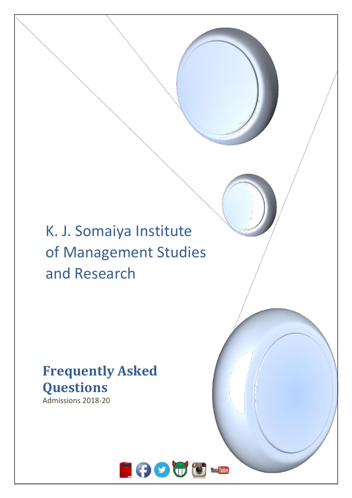# K. J. Somaiya Institute of Management Studies and Research

# **Frequently Asked Questions**

Admissions 2018-20

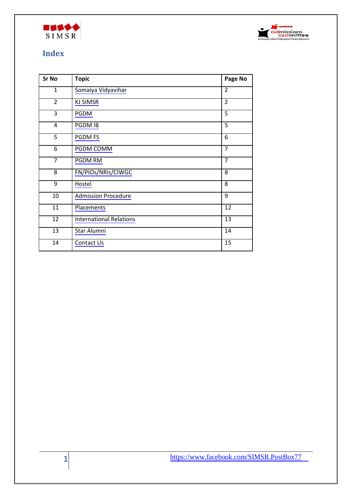



# **Index**

| Sr No           | <b>Topic</b>                   | Page No         |
|-----------------|--------------------------------|-----------------|
| 1               | Somaiya Vidyavihar             | $\overline{2}$  |
| $\overline{2}$  | <b>KJ SIMSR</b>                | $\overline{2}$  |
| 3               | PGDM                           | 5               |
| $\overline{4}$  | PGDM IB                        | 5               |
| $\overline{5}$  | PGDM FS                        | 6               |
| 6               | <b>PGDM COMM</b>               | 7               |
| $\overline{7}$  | PGDM RM                        | 7               |
| 8               | FN/PIOs/NRIs/CIWGC             | 8               |
| 9               | Hostel                         | 8               |
| 10              | <b>Admission Procedure</b>     | 9               |
| $\overline{11}$ | Placements                     | $\overline{12}$ |
| $\overline{12}$ | <b>International Relations</b> | $\overline{13}$ |
| $\overline{13}$ | Star Alumni                    | 14              |
| 14              | Contact Us                     | 15              |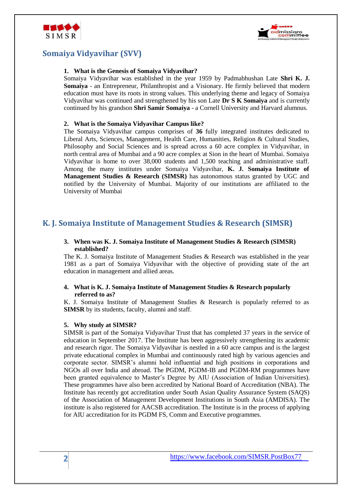



# **Somaiya Vidyavihar (SVV)**

## **1. What is the Genesis of Somaiya Vidyavihar?**

Somaiya Vidyavihar was established in the year 1959 by Padmabhushan Late **Shri K. J. Somaiya** - an Entrepreneur, Philanthropist and a Visionary. He firmly believed that modern education must have its roots in strong values. This underlying theme and legacy of Somaiya Vidyavihar was continued and strengthened by his son Late **Dr S K Somaiya** and is currently continued by his grandson **Shri Samir Somaiya** - a Cornell University and Harvard alumnus.

## **2. What is the Somaiya Vidyavihar Campus like?**

The Somaiya Vidyavihar campus comprises of **36** fully integrated institutes dedicated to Liberal Arts, Sciences, Management, Health Care, Humanities, Religion & Cultural Studies, Philosophy and Social Sciences and is spread across a 60 acre complex in Vidyavihar, in north central area of Mumbai and a 90 acre complex at Sion in the heart of Mumbai. Somaiya Vidyavihar is home to over 38,000 students and 1,500 teaching and administrative staff. Among the many institutes under Somaiya Vidyavihar, **K. J. Somaiya Institute of Management Studies & Research (SIMSR)** has autonomous status granted by UGC and notified by the University of Mumbai. Majority of our institutions are affiliated to the University of Mumbai

# **K. J. Somaiya Institute of Management Studies & Research (SIMSR)**

## **3. When was K. J. Somaiya Institute of Management Studies & Research (SIMSR) established?**

The K. J. Somaiya Institute of Management Studies & Research was established in the year 1981 as a part of Somaiya Vidyavihar with the objective of providing state of the art education in management and allied areas.

## **4. What is K. J. Somaiya Institute of Management Studies & Research popularly referred to as?**

K. J. Somaiya Institute of Management Studies & Research is popularly referred to as **SIMSR** by its students, faculty, alumni and staff.

## **5. Why study at SIMSR?**

SIMSR is part of the Somaiya Vidyavihar Trust that has completed 37 years in the service of education in September 2017. The Institute has been aggressively strengthening its academic and research rigor. The Somaiya Vidyavihar is nestled in a 60 acre campus and is the largest private educational complex in Mumbai and continuously rated high by various agencies and corporate sector. SIMSR's alumni hold influential and high positions in corporations and NGOs all over India and abroad. The PGDM, PGDM-IB and PGDM-RM programmes have been granted equivalence to Master's Degree by AIU (Association of Indian Universities). These programmes have also been accredited by National Board of Accreditation (NBA). The Institute has recently got accreditation under South Asian Quality Assurance System (SAQS) of the Association of Management Development Institutions in South Asia (AMDISA). The institute is also registered for AACSB accreditation. The Institute is in the process of applying for AIU accreditation for its PGDM FS, Comm and Executive programmes.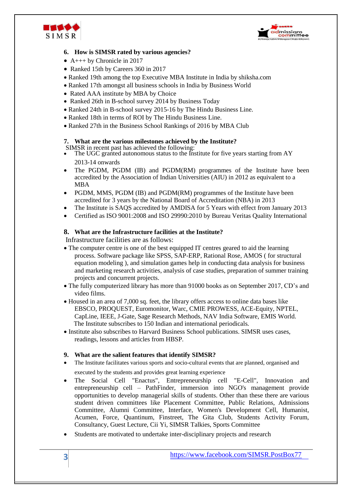



## **6. How is SIMSR rated by various agencies?**

- A+++ by Chronicle in 2017
- Ranked 15th by Careers 360 in 2017
- Ranked 19th among the top Executive MBA Institute in India by shiksha.com
- Ranked 17th amongst all business schools in India by Business World
- Rated AAA institute by MBA by Choice
- Ranked 26th in B-school survey 2014 by Business Today
- Ranked 24th in B-school survey 2015-16 by The Hindu Business Line.
- Ranked 18th in terms of ROI by The Hindu Business Line.
- Ranked 27th in the Business School Rankings of 2016 by MBA Club

#### **7. What are the various milestones achieved by the Institute?**

SIMSR in recent past has achieved the following:

- The UGC granted autonomous status to the Institute for five years starting from AY 2013-14 onwards
- The PGDM, PGDM (IB) and PGDM(RM) programmes of the Institute have been accredited by the Association of Indian Universities (AIU) in 2012 as equivalent to a MBA
- PGDM, MMS, PGDM (IB) and PGDM(RM) programmes of the Institute have been accredited for 3 years by the National Board of Accreditation (NBA) in 2013
- The Institute is SAQS accredited by AMDISA for 5 Years with effect from January 2013
- Certified as ISO 9001:2008 and ISO 29990:2010 by Bureau Veritas Quality International

## **8. What are the Infrastructure facilities at the Institute?**

Infrastructure facilities are as follows:

- The computer centre is one of the best equipped IT centres geared to aid the learning process. Software package like SPSS, SAP-ERP, Rational Rose, AMOS ( for structural equation modeling ), and simulation games help in conducting data analysis for business and marketing research activities, analysis of case studies, preparation of summer training projects and concurrent projects.
- The fully computerized library has more than 91000 books as on September 2017, CD's and video films.
- Housed in an area of 7,000 sq. feet, the library offers access to online data bases like EBSCO, PROQUEST, Euromonitor, Warc, CMIE PROWESS, ACE-Equity, NPTEL, CapLine, IEEE, J-Gate, Sage Research Methods, NAV India Software, EMIS World. The Institute subscribes to 150 Indian and international periodicals.
- Institute also subscribes to Harvard Business School publications. SIMSR uses cases, readings, lessons and articles from HBSP.

## **9. What are the salient features that identify SIMSR?**

- The Institute facilitates various sports and socio-cultural events that are planned, organised and
	- executed by the students and provides great learning experience
- The Social Cell "Enactus", Entrepreneurship cell "E-Cell", Innovation and entrepreneurship cell – PathFinder, immersion into NGO's management provide opportunities to develop managerial skills of students. Other than these there are various student driven committees like Placement Committee, Public Relations, Admissions Committee, Alumni Committee, Interface, Women's Development Cell, Humanist, Acumen, Force, Quantinum, Finstreet, The Gita Club, Students Activity Forum, Consultancy, Guest Lecture, Cii Yi, SIMSR Talkies, Sports Committee
- Students are motivated to undertake inter-disciplinary projects and research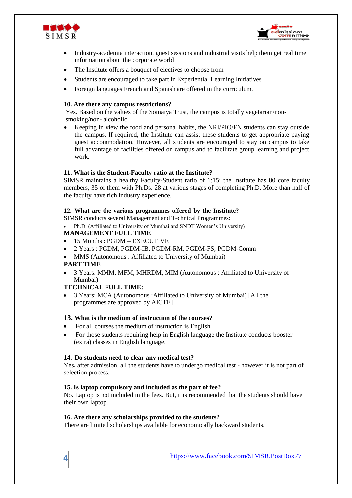



- Industry-academia interaction, guest sessions and industrial visits help them get real time information about the corporate world
- The Institute offers a bouquet of electives to choose from
- Students are encouraged to take part in Experiential Learning Initiatives
- Foreign languages French and Spanish are offered in the curriculum.

## **10. Are there any campus restrictions?**

Yes. Based on the values of the Somaiya Trust, the campus is totally vegetarian/nonsmoking/non- alcoholic.

• Keeping in view the food and personal habits, the NRI/PIO/FN students can stay outside the campus. If required, the Institute can assist these students to get appropriate paying guest accommodation. However, all students are encouraged to stay on campus to take full advantage of facilities offered on campus and to facilitate group learning and project work.

## **11. What is the Student-Faculty ratio at the Institute?**

SIMSR maintains a healthy Faculty-Student ratio of 1:15; the Institute has 80 core faculty members, 35 of them with Ph.Ds. 28 at various stages of completing Ph.D. More than half of the faculty have rich industry experience.

## **12. What are the various programmes offered by the Institute?**

SIMSR conducts several Management and Technical Programmes:

• Ph.D. (Affiliated to University of Mumbai and SNDT Women's University)

## **MANAGEMENT FULL TIME**

- 15 Months : PGDM EXECUTIVE
- 2 Years : PGDM, PGDM-IB, PGDM-RM, PGDM-FS, PGDM-Comm
- MMS (Autonomous : Affiliated to University of Mumbai)

## **PART TIME**

• 3 Years: MMM, MFM, MHRDM, MIM (Autonomous : Affiliated to University of Mumbai)

## **TECHNICAL FULL TIME:**

• 3 Years: MCA (Autonomous :Affiliated to University of Mumbai) [All the programmes are approved by AICTE]

## **13. What is the medium of instruction of the courses?**

- For all courses the medium of instruction is English.
- For those students requiring help in English language the Institute conducts booster (extra) classes in English language.

## **14. Do students need to clear any medical test?**

Yes**,** after admission, all the students have to undergo medical test - however it is not part of selection process.

## **15. Is laptop compulsory and included as the part of fee?**

No. Laptop is not included in the fees. But, it is recommended that the students should have their own laptop.

## **16. Are there any scholarships provided to the students?**

There are limited scholarships available for economically backward students.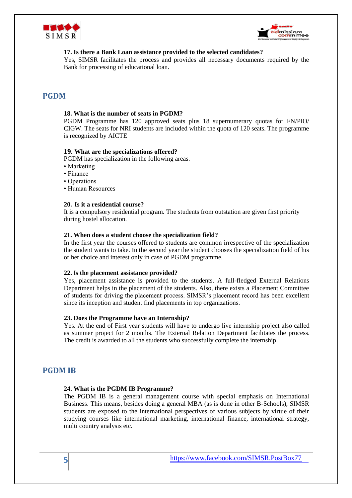



## **17. Is there a Bank Loan assistance provided to the selected candidates?**

Yes, SIMSR facilitates the process and provides all necessary documents required by the Bank for processing of educational loan.

## **PGDM**

#### **18. What is the number of seats in PGDM?**

PGDM Programme has 120 approved seats plus 18 supernumerary quotas for FN/PIO/ CIGW. The seats for NRI students are included within the quota of 120 seats. The programme is recognized by AICTE

## **19. What are the specializations offered?**

PGDM has specialization in the following areas.

- Marketing
- Finance
- Operations
- Human Resources

## **20. Is it a residential course?**

It is a compulsory residential program. The students from outstation are given first priority during hostel allocation.

#### **21. When does a student choose the specialization field?**

In the first year the courses offered to students are common irrespective of the specialization the student wants to take. In the second year the student chooses the specialization field of his or her choice and interest only in case of PGDM programme.

#### **22.** I**s the placement assistance provided?**

Yes, placement assistance is provided to the students. A full-fledged External Relations Department helps in the placement of the students. Also, there exists a Placement Committee of students for driving the placement process. SIMSR's placement record has been excellent since its inception and student find placements in top organizations.

#### **23. Does the Programme have an Internship?**

Yes. At the end of First year students will have to undergo live internship project also called as summer project for 2 months. The External Relation Department facilitates the process. The credit is awarded to all the students who successfully complete the internship.

## **PGDM IB**

#### **24. What is the PGDM IB Programme?**

The PGDM IB is a general management course with special emphasis on International Business. This means, besides doing a general MBA (as is done in other B-Schools), SIMSR students are exposed to the international perspectives of various subjects by virtue of their studying courses like international marketing, international finance, international strategy, multi country analysis etc.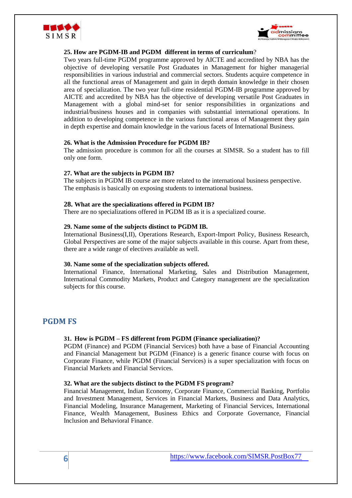



## **25. How are PGDM-IB and PGDM different in terms of curriculum**?

Two years full-time PGDM programme approved by AICTE and accredited by NBA has the objective of developing versatile Post Graduates in Management for higher managerial responsibilities in various industrial and commercial sectors. Students acquire competence in all the functional areas of Management and gain in depth domain knowledge in their chosen area of specialization. The two year full-time residential PGDM-IB programme approved by AICTE and accredited by NBA has the objective of developing versatile Post Graduates in Management with a global mind-set for senior responsibilities in organizations and industrial/business houses and in companies with substantial international operations. In addition to developing competence in the various functional areas of Management they gain in depth expertise and domain knowledge in the various facets of International Business.

## **26. What is the Admission Procedure for PGDM IB?**

The admission procedure is common for all the courses at SIMSR. So a student has to fill only one form.

#### **27. What are the subjects in PGDM IB?**

The subjects in PGDM IB course are more related to the international business perspective. The emphasis is basically on exposing students to international business.

#### **28. What are the specializations offered in PGDM IB?**

There are no specializations offered in PGDM IB as it is a specialized course.

#### **29. Name some of the subjects distinct to PGDM IB.**

International Business(I,II), Operations Research, Export-Import Policy, Business Research, Global Perspectives are some of the major subjects available in this course. Apart from these, there are a wide range of electives available as well.

#### **30. Name some of the specialization subjects offered.**

International Finance, International Marketing, Sales and Distribution Management, International Commodity Markets, Product and Category management are the specialization subjects for this course.

## **PGDM FS**

## **31. How is PGDM – FS different from PGDM (Finance specialization)?**

PGDM (Finance) and PGDM (Financial Services) both have a base of Financial Accounting and Financial Management but PGDM (Finance) is a generic finance course with focus on Corporate Finance, while PGDM (Financial Services) is a super specialization with focus on Financial Markets and Financial Services.

## **32. What are the subjects distinct to the PGDM FS program?**

Financial Management, Indian Economy, Corporate Finance, Commercial Banking, Portfolio and Investment Management, Services in Financial Markets, Business and Data Analytics, Financial Modeling, Insurance Management, Marketing of Financial Services, International Finance, Wealth Management, Business Ethics and Corporate Governance, Financial Inclusion and Behavioral Finance.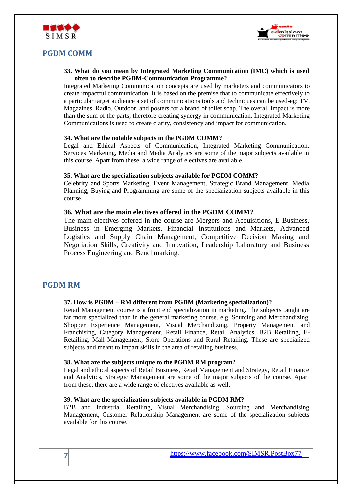



# **PGDM COMM**

**33. What do you mean by Integrated Marketing Communication (IMC) which is used often to describe PGDM-Communication Programme?**

Integrated Marketing Communication concepts are used by marketers and communicators to create impactful communication. It is based on the premise that to communicate effectively to a particular target audience a set of communications tools and techniques can be used-eg: TV, Magazines, Radio, Outdoor, and posters for a brand of toilet soap. The overall impact is more than the sum of the parts, therefore creating synergy in communication. Integrated Marketing Communications is used to create clarity, consistency and impact for communication.

## **34. What are the notable subjects in the PGDM COMM?**

Legal and Ethical Aspects of Communication, Integrated Marketing Communication, Services Marketing, Media and Media Analytics are some of the major subjects available in this course. Apart from these, a wide range of electives are available.

#### **35. What are the specialization subjects available for PGDM COMM?**

Celebrity and Sports Marketing, Event Management, Strategic Brand Management, Media Planning, Buying and Programming are some of the specialization subjects available in this course.

## **36. What are the main electives offered in the PGDM COMM?**

The main electives offered in the course are Mergers and Acquisitions, E-Business, Business in Emerging Markets, Financial Institutions and Markets, Advanced Logistics and Supply Chain Management, Competitive Decision Making and Negotiation Skills, Creativity and Innovation, Leadership Laboratory and Business Process Engineering and Benchmarking.

## **PGDM RM**

## **37. How is PGDM – RM different from PGDM (Marketing specialization)?**

Retail Management course is a front end specialization in marketing. The subjects taught are far more specialized than in the general marketing course. e.g. Sourcing and Merchandizing, Shopper Experience Management, Visual Merchandizing, Property Management and Franchising, Category Management, Retail Finance, Retail Analytics, B2B Retailing, E-Retailing, Mall Management, Store Operations and Rural Retailing. These are specialized subjects and meant to impart skills in the area of retailing business.

#### **38. What are the subjects unique to the PGDM RM program?**

Legal and ethical aspects of Retail Business, Retail Management and Strategy, Retail Finance and Analytics, Strategic Management are some of the major subjects of the course. Apart from these, there are a wide range of electives available as well.

#### **39. What are the specialization subjects available in PGDM RM?**

B2B and Industrial Retailing, Visual Merchandising, Sourcing and Merchandising Management, Customer Relationship Management are some of the specialization subjects available for this course.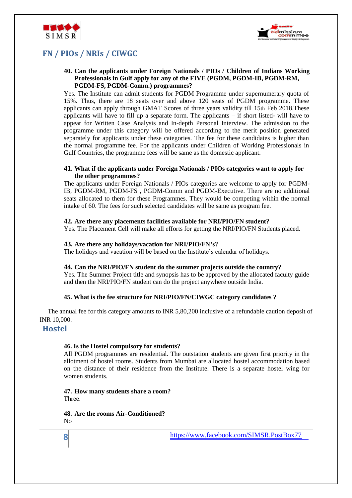



# **FN / PIOs / NRIs / CIWGC**

## **40. Can the applicants under Foreign Nationals / PIOs / Children of Indians Working Professionals in Gulf apply for any of the FIVE (PGDM, PGDM-IB, PGDM-RM, PGDM-FS, PGDM-Comm.) programmes?**

Yes. The Institute can admit students for PGDM Programme under supernumerary quota of 15%. Thus, there are 18 seats over and above 120 seats of PGDM programme. These applicants can apply through GMAT Scores of three years validity till 15th Feb 2018.These applicants will have to fill up a separate form. The applicants – if short listed- will have to appear for Written Case Analysis and In-depth Personal Interview. The admission to the programme under this category will be offered according to the merit position generated separately for applicants under these categories. The fee for these candidates is higher than the normal programme fee. For the applicants under Children of Working Professionals in Gulf Countries, the programme fees will be same as the domestic applicant.

#### **41. What if the applicants under Foreign Nationals / PIOs categories want to apply for the other programmes?**

The applicants under Foreign Nationals / PIOs categories are welcome to apply for PGDM-IB, PGDM-RM, PGDM-FS , PGDM-Comm and PGDM-Executive. There are no additional seats allocated to them for these Programmes. They would be competing within the normal intake of 60. The fees for such selected candidates will be same as program fee.

## **42. Are there any placements facilities available for NRI/PIO/FN student?**

Yes. The Placement Cell will make all efforts for getting the NRI/PIO/FN Students placed.

#### **43. Are there any holidays/vacation for NRI/PIO/FN's?**

The holidays and vacation will be based on the Institute's calendar of holidays.

#### **44. Can the NRI/PIO/FN student do the summer projects outside the country?**

Yes. The Summer Project title and synopsis has to be approved by the allocated faculty guide and then the NRI/PIO/FN student can do the project anywhere outside India.

## **45. What is the fee structure for NRI/PIO/FN/CIWGC category candidates ?**

 The annual fee for this category amounts to INR 5,80,200 inclusive of a refundable caution deposit of INR 10,000.

## **Hostel**

**8**

## **46. Is the Hostel compulsory for students?**

All PGDM programmes are residential. The outstation students are given first priority in the allotment of hostel rooms. Students from Mumbai are allocated hostel accommodation based on the distance of their residence from the Institute. There is a separate hostel wing for women students.

**47. How many students share a room?**  Three.

**48. Are the rooms Air-Conditioned?** No

<https://www.facebook.com/SIMSR.PostBox77>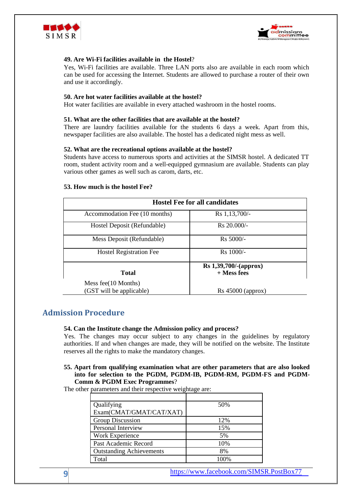



## **49. Are Wi-Fi facilities available in the Hostel**?

Yes, Wi-Fi facilities are available. Three LAN ports also are available in each room which can be used for accessing the Internet. Students are allowed to purchase a router of their own and use it accordingly.

#### **50. Are hot water facilities available at the hostel?**

Hot water facilities are available in every attached washroom in the hostel rooms.

#### **51. What are the other facilities that are available at the hostel?**

There are laundry facilities available for the students 6 days a week. Apart from this, newspaper facilities are also available. The hostel has a dedicated night mess as well.

#### **52. What are the recreational options available at the hostel?**

Students have access to numerous sports and activities at the SIMSR hostel. A dedicated TT room, student activity room and a well-equipped gymnasium are available. Students can play various other games as well such as carom, darts, etc.

#### **53. How much is the hostel Fee?**

| <b>Hostel Fee for all candidates</b> |                       |  |  |  |
|--------------------------------------|-----------------------|--|--|--|
| Accommodation Fee (10 months)        | Rs 1,13,700/-         |  |  |  |
| Hostel Deposit (Refundable)          | $Rs 20.000/-$         |  |  |  |
| Mess Deposit (Refundable)            | Rs 5000/-             |  |  |  |
| <b>Hostel Registration Fee</b>       | Rs 1000/-             |  |  |  |
|                                      | Rs 1,39,700/-(approx) |  |  |  |
| Total                                | $+$ Mess fees         |  |  |  |
| Mess fee $(10$ Months)               |                       |  |  |  |
| (GST will be applicable)             | Rs 45000 (approx)     |  |  |  |

## **Admission Procedure**

#### **54. Can the Institute change the Admission policy and process?**

Yes. The changes may occur subject to any changes in the guidelines by regulatory authorities. If and when changes are made, they will be notified on the website. The Institute reserves all the rights to make the mandatory changes.

#### **55. Apart from qualifying examination what are other parameters that are also looked into for selection to the PGDM, PGDM-IB, PGDM-RM, PGDM-FS and PGDM-Comm & PGDM Exec Programmes**?

The other parameters and their respective weightage are:

| Qualifying                      | 50%  |
|---------------------------------|------|
| Exam(CMAT/GMAT/CAT/XAT)         |      |
| Group Discussion                | 12%  |
| Personal Interview              | 15%  |
| Work Experience                 | 5%   |
| Past Academic Record            | 10%  |
| <b>Outstanding Achievements</b> | 8%   |
| Total                           | 100% |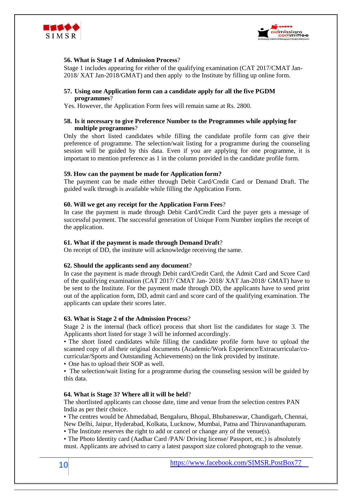



## **56. What is Stage 1 of Admission Process**?

Stage 1 includes appearing for either of the qualifying examination (CAT 2017/CMAT Jan-2018/ XAT Jan-2018/GMAT) and then apply to the Institute by filling up online form.

#### **57. Using one Application form can a candidate apply for all the five PGDM programmes**?

Yes. However, the Application Form fees will remain same at Rs. 2800.

## **58. Is it necessary to give Preference Number to the Programmes while applying for multiple programmes**?

Only the short listed candidates while filling the candidate profile form can give their preference of programme. The selection/wait listing for a programme during the counseling session will be guided by this data. Even if you are applying for one programme, it is important to mention preference as 1 in the column provided in the candidate profile form.

#### **59. How can the payment be made for Application form?**

The payment can be made either through Debit Card/Credit Card or Demand Draft. The guided walk through is available while filling the Application Form.

## **60. Will we get any receipt for the Application Form Fees**?

In case the payment is made through Debit Card/Credit Card the payer gets a message of successful payment. The successful generation of Unique Form Number implies the receipt of the application.

#### **61. What if the payment is made through Demand Draft**?

On receipt of DD, the institute will acknowledge receiving the same.

#### **62. Should the applicants send any document**?

In case the payment is made through Debit card/Credit Card, the Admit Card and Score Card of the qualifying examination (CAT 2017/ CMAT Jan- 2018/ XAT Jan-2018/ GMAT) have to be sent to the Institute. For the payment made through DD, the applicants have to send print out of the application form, DD, admit card and score card of the qualifying examination. The applicants can update their scores later.

#### **63. What is Stage 2 of the Admission Process**?

Stage 2 is the internal (back office) process that short list the candidates for stage 3. The Applicants short listed for stage 3 will be informed accordingly.

• The short listed candidates while filling the candidate profile form have to upload the scanned copy of all their original documents (Academic/Work Experience/Extracurricular/cocurricular/Sports and Outstanding Achievements) on the link provided by institute.

• One has to upload their SOP as well.

• The selection/wait listing for a programme during the counseling session will be guided by this data.

#### **64. What is Stage 3? Where all it will be held**?

The shortlisted applicants can choose date, time and venue from the selection centres PAN India as per their choice.

• The centres would be Ahmedabad, Bengaluru, Bhopal, Bhubaneswar, Chandigarh, Chennai, New Delhi, Jaipur, Hyderabad, Kolkata, Lucknow, Mumbai, Patna and Thiruvananthapuram.

• The Institute reserves the right to add or cancel or change any of the venue(s).

• The Photo Identity card (Aadhar Card /PAN/ Driving license/ Passport, etc.) is absolutely must. Applicants are advised to carry a latest passport size colored photograph to the venue.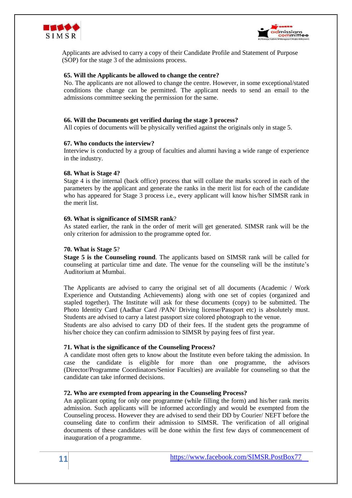



Applicants are advised to carry a copy of their Candidate Profile and Statement of Purpose (SOP) for the stage 3 of the admissions process.

#### **65. Will the Applicants be allowed to change the centre?**

No. The applicants are not allowed to change the centre. However, in some exceptional/stated conditions the change can be permitted. The applicant needs to send an email to the admissions committee seeking the permission for the same.

#### **66. Will the Documents get verified during the stage 3 process?**

All copies of documents will be physically verified against the originals only in stage 5.

#### **67. Who conducts the interview?**

Interview is conducted by a group of faculties and alumni having a wide range of experience in the industry.

#### **68. What is Stage 4?**

Stage 4 is the internal (back office) process that will collate the marks scored in each of the parameters by the applicant and generate the ranks in the merit list for each of the candidate who has appeared for Stage 3 process i.e., every applicant will know his/her SIMSR rank in the merit list.

#### **69. What is significance of SIMSR rank**?

As stated earlier, the rank in the order of merit will get generated. SIMSR rank will be the only criterion for admission to the programme opted for.

#### **70. What is Stage 5**?

**Stage 5 is the Counseling round**. The applicants based on SIMSR rank will be called for counseling at particular time and date. The venue for the counseling will be the institute's Auditorium at Mumbai.

The Applicants are advised to carry the original set of all documents (Academic / Work Experience and Outstanding Achievements) along with one set of copies (organized and stapled together). The Institute will ask for these documents (copy) to be submitted. The Photo Identity Card (Aadhar Card /PAN/ Driving license/Passport etc) is absolutely must. Students are advised to carry a latest passport size colored photograph to the venue.

Students are also advised to carry DD of their fees. If the student gets the programme of his/her choice they can confirm admission to SIMSR by paying fees of first year.

#### **71. What is the significance of the Counseling Process?**

A candidate most often gets to know about the Institute even before taking the admission. In case the candidate is eligible for more than one programme, the advisors (Director/Programme Coordinators/Senior Faculties) are available for counseling so that the candidate can take informed decisions.

#### **72. Who are exempted from appearing in the Counseling Process?**

An applicant opting for only one programme (while filling the form) and his/her rank merits admission. Such applicants will be informed accordingly and would be exempted from the Counseling process. However they are advised to send their DD by Courier/ NEFT before the counseling date to confirm their admission to SIMSR. The verification of all original documents of these candidates will be done within the first few days of commencement of inauguration of a programme.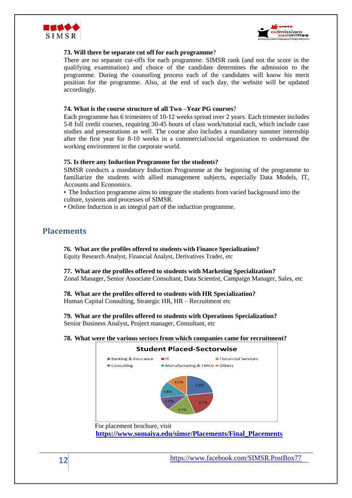



## **73. Will there be separate cut off for each programme**?

There are no separate cut-offs for each programme. SIMSR rank (and not the score in the qualifying examination) and choice of the candidate determines the admission to the programme. During the counseling process each of the candidates will know his merit position for the programme. Also, at the end of each day, the website will be updated accordingly.

#### **74. What is the course structure of all Two –Year PG courses**?

Each programme has 6 trimesters of 10-12 weeks spread over 2 years. Each trimester includes 5-8 full credit courses, requiring 30-45 hours of class work/tutorial each, which include case studies and presentations as well. The course also includes a mandatory summer internship after the first year for 8-10 weeks in a commercial/social organization to understand the working environment in the corporate world.

#### **75. Is there any Induction Programme for the students?**

SIMSR conducts a mandatory Induction Programme at the beginning of the programme to familiarize the students with allied management subjects, especially Data Models, IT, Accounts and Economics.

• The Induction programme aims to integrate the students from varied background into the culture, systems and processes of SIMSR.

• Online Induction is an integral part of the induction programme.

## **Placements**

**76. What are the profiles offered to students with Finance Specialization?**  Equity Research Analyst, Financial Analyst, Derivatives Trader, etc

**77. What are the profiles offered to students with Marketing Specialization?** Zonal Manager, Senior Associate Consultant, Data Scientist, Campaign Manager, Sales, etc

**78. What are the profiles offered to students with HR Specialization?**  Human Capital Consulting, Strategic HR, HR – Recruitment etc

**79. What are the profiles offered to students with Operations Specialization?**  Senior Business Analyst, Project manager, Consultant, etc

**78. What were the various sectors from which companies came for recruitment?**

# **Student Placed-Sectorwise** Banking & Insurance  $\blacksquare$ IT  $\blacksquare$  Fianancial Services  $\Box$  Consulting Manufacturing & FMCG Others 13% 23% For placement brochure, visit

 **https://www.somaiya.edu/simsr/Placements/Final\_Placements**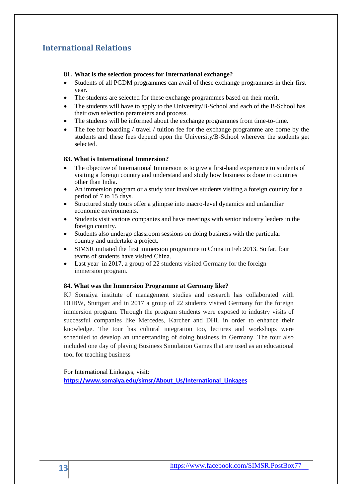# **International Relations**

## **81. What is the selection process for International exchange?**

- Students of all PGDM programmes can avail of these exchange programmes in their first year.
- The students are selected for these exchange programmes based on their merit.
- The students will have to apply to the University/B-School and each of the B-School has their own selection parameters and process.
- The students will be informed about the exchange programmes from time-to-time.
- The fee for boarding / travel / tuition fee for the exchange programme are borne by the students and these fees depend upon the University/B-School wherever the students get selected.

## **83. What is International Immersion?**

- The objective of International Immersion is to give a first-hand experience to students of visiting a foreign country and understand and study how business is done in countries other than India.
- An immersion program or a study tour involves students visiting a foreign country for a period of 7 to 15 days.
- Structured study tours offer a glimpse into macro-level dynamics and unfamiliar economic environments.
- Students visit various companies and have meetings with senior industry leaders in the foreign country.
- Students also undergo classroom sessions on doing business with the particular country and undertake a project.
- SIMSR initiated the first immersion programme to China in Feb 2013. So far, four teams of students have visited China.
- Last year in 2017, a group of 22 students visited Germany for the foreign immersion program.

## **84. What was the Immersion Programme at Germany like?**

KJ Somaiya institute of management studies and research has collaborated with DHBW, Stuttgart and in 2017 a group of 22 students visited Germany for the foreign immersion program. Through the program students were exposed to industry visits of successful companies like Mercedes, Karcher and DHL in order to enhance their knowledge. The tour has cultural integration too, lectures and workshops were scheduled to develop an understanding of doing business in Germany. The tour also included one day of playing Business Simulation Games that are used as an educational tool for teaching business

For International Linkages, visit: **[https://www.somaiya.edu/simsr/About\\_Us/International\\_Linkages](https://www.somaiya.edu/simsr/About_Us/International_Linkages)**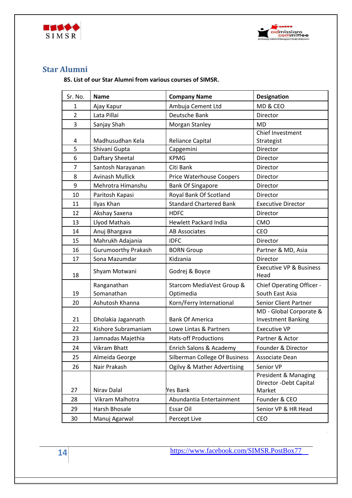



# **Star Alumni**

**85. List of our Star Alumni from various courses of SIMSR.**

| Sr. No.        | <b>Name</b>                | <b>Company Name</b>                    | <b>Designation</b>                                        |
|----------------|----------------------------|----------------------------------------|-----------------------------------------------------------|
| 1              | Ajay Kapur                 | Ambuja Cement Ltd                      | MD & CEO                                                  |
| $\overline{2}$ | Lata Pillai                | Deutsche Bank                          | Director                                                  |
| 3              | Sanjay Shah                | Morgan Stanley                         | <b>MD</b>                                                 |
| 4              | Madhusudhan Kela           | Reliance Capital                       | Chief Investment<br>Strategist                            |
| 5              | Shivani Gupta              | Capgemini                              | Director                                                  |
| 6              | Daftary Sheetal            | <b>KPMG</b>                            | Director                                                  |
| 7              | Santosh Narayanan          | Citi Bank                              | Director                                                  |
| 8              | <b>Avinash Mullick</b>     | Price Waterhouse Coopers               | Director                                                  |
| 9              | Mehrotra Himanshu          | <b>Bank Of Singapore</b>               | Director                                                  |
| 10             | Paritosh Kapasi            | Royal Bank Of Scotland                 | Director                                                  |
| 11             | Ilyas Khan                 | <b>Standard Chartered Bank</b>         | <b>Executive Director</b>                                 |
| 12             | Akshay Saxena              | <b>HDFC</b>                            | Director                                                  |
| 13             | Llyod Mathais              | <b>Hewlett Packard India</b>           | CMO                                                       |
| 14             | Anuj Bhargava              | <b>AB Associates</b>                   | <b>CEO</b>                                                |
| 15             | Mahrukh Adajania           | <b>IDFC</b>                            | Director                                                  |
| 16             | <b>Gurumoorthy Prakash</b> | <b>BORN Group</b>                      | Partner & MD, Asia                                        |
| 17             | Sona Mazumdar              | Kidzania                               | Director                                                  |
| 18             | Shyam Motwani              | Godrej & Boyce                         | <b>Executive VP &amp; Business</b><br>Head                |
| 19             | Ranganathan<br>Somanathan  | Starcom MediaVest Group &<br>Optimedia | Chief Operating Officer -<br>South East Asia              |
| 20             | Ashutosh Khanna            | Korn/Ferry International               | <b>Senior Client Partner</b>                              |
| 21             | Dholakia Jagannath         | <b>Bank Of America</b>                 | MD - Global Corporate &<br><b>Investment Banking</b>      |
| 22             | Kishore Subramaniam        | Lowe Lintas & Partners                 | <b>Executive VP</b>                                       |
| 23             | Jamnadas Majethia          | <b>Hats-off Productions</b>            | Partner & Actor                                           |
| 24             | <b>Vikram Bhatt</b>        | Enrich Salons & Academy                | Founder & Director                                        |
| 25             | Almeida George             | Silberman College Of Business          | Associate Dean                                            |
| 26             | Nair Prakash               | Ogilvy & Mather Advertising            | Senior VP                                                 |
| 27             | Nirav Dalal                | Yes Bank                               | President & Managing<br>Director - Debt Capital<br>Market |
| 28             | Vikram Malhotra            | Abundantia Entertainment               | Founder & CEO                                             |
| 29             | Harsh Bhosale              | Essar Oil                              | Senior VP & HR Head                                       |
| 30             | Manuj Agarwal              | Percept Live                           | CEO                                                       |